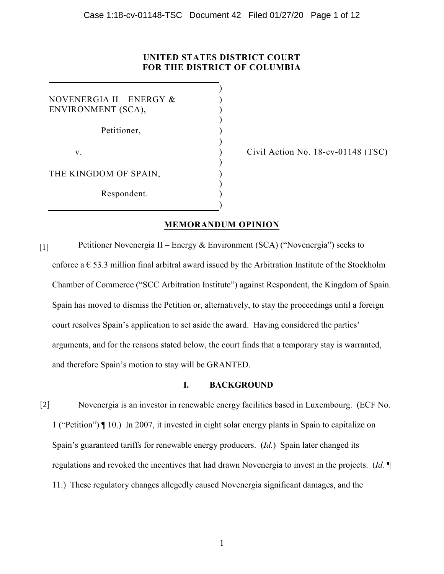# **UNITED STATES DISTRICT COURT FOR THE DISTRICT OF COLUMBIA**

)

) ) )

 $\lambda$ 

)

)

NOVENERGIA II – ENERGY & ENVIRONMENT (SCA),

Petitioner,

 $\mathbf{v}$ .  $\qquad \qquad$  )

THE KINGDOM OF SPAIN,

Respondent. )

Civil Action No. 18-cv-01148 (TSC)

# **MEMORANDUM OPINION**

)

Petitioner Novenergia II – Energy & Environment (SCA) ("Novenergia") seeks to enforce a  $\epsilon$  53.3 million final arbitral award issued by the Arbitration Institute of the Stockholm Chamber of Commerce ("SCC Arbitration Institute") against Respondent, the Kingdom of Spain. Spain has moved to dismiss the Petition or, alternatively, to stay the proceedings until a foreign court resolves Spain's application to set aside the award. Having considered the parties' arguments, and for the reasons stated below, the court finds that a temporary stay is warranted, and therefore Spain's motion to stay will be GRANTED. [1]

## **I. BACKGROUND**

Novenergia is an investor in renewable energy facilities based in Luxembourg. (ECF No. 1 ("Petition") ¶ 10.) In 2007, it invested in eight solar energy plants in Spain to capitalize on Spain's guaranteed tariffs for renewable energy producers. (*Id.*) Spain later changed its regulations and revoked the incentives that had drawn Novenergia to invest in the projects. (*Id.* ¶ 11.) These regulatory changes allegedly caused Novenergia significant damages, and the [2]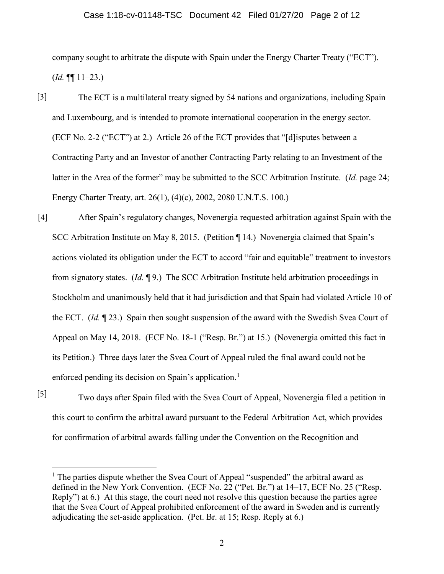#### Case 1:18-cv-01148-TSC Document 42 Filed 01/27/20 Page 2 of 12

company sought to arbitrate the dispute with Spain under the Energy Charter Treaty ("ECT").  $(Id. \P\P 11-23.)$ 

- The ECT is a multilateral treaty signed by 54 nations and organizations, including Spain and Luxembourg, and is intended to promote international cooperation in the energy sector. (ECF No. 2-2 ("ECT") at 2.) Article 26 of the ECT provides that "[d]isputes between a Contracting Party and an Investor of another Contracting Party relating to an Investment of the latter in the Area of the former" may be submitted to the SCC Arbitration Institute. (*Id.* page 24; Energy Charter Treaty, art. 26(1), (4)(c), 2002, 2080 U.N.T.S. 100.) [3]
- After Spain's regulatory changes, Novenergia requested arbitration against Spain with the SCC Arbitration Institute on May 8, 2015. (Petition ¶ 14.) Novenergia claimed that Spain's actions violated its obligation under the ECT to accord "fair and equitable" treatment to investors from signatory states. (*Id.* ¶ 9.) The SCC Arbitration Institute held arbitration proceedings in Stockholm and unanimously held that it had jurisdiction and that Spain had violated Article 10 of the ECT. (*Id.* ¶ 23.) Spain then sought suspension of the award with the Swedish Svea Court of Appeal on May 14, 2018. (ECF No. 18-1 ("Resp. Br.") at 15.) (Novenergia omitted this fact in its Petition.) Three days later the Svea Court of Appeal ruled the final award could not be enforced pending its decision on Spain's application.<sup>1</sup> [4]
- [5]

Two days after Spain filed with the Svea Court of Appeal, Novenergia filed a petition in this court to confirm the arbitral award pursuant to the Federal Arbitration Act, which provides for confirmation of arbitral awards falling under the Convention on the Recognition and

<sup>&</sup>lt;sup>1</sup> The parties dispute whether the Svea Court of Appeal "suspended" the arbitral award as defined in the New York Convention. (ECF No. 22 ("Pet. Br.") at 14–17, ECF No. 25 ("Resp. Reply") at 6.) At this stage, the court need not resolve this question because the parties agree that the Svea Court of Appeal prohibited enforcement of the award in Sweden and is currently adjudicating the set-aside application. (Pet. Br. at 15; Resp. Reply at 6.)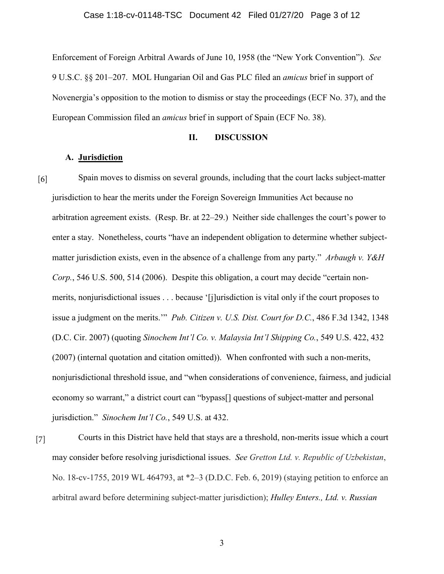Enforcement of Foreign Arbitral Awards of June 10, 1958 (the "New York Convention"). *See* 9 U.S.C. §§ 201–207. MOL Hungarian Oil and Gas PLC filed an *amicus* brief in support of Novenergia's opposition to the motion to dismiss or stay the proceedings (ECF No. 37), and the European Commission filed an *amicus* brief in support of Spain (ECF No. 38).

## **II. DISCUSSION**

## **A. Jurisdiction**

Spain moves to dismiss on several grounds, including that the court lacks subject-matter jurisdiction to hear the merits under the Foreign Sovereign Immunities Act because no arbitration agreement exists. (Resp. Br. at 22–29.) Neither side challenges the court's power to enter a stay. Nonetheless, courts "have an independent obligation to determine whether subjectmatter jurisdiction exists, even in the absence of a challenge from any party." *Arbaugh v. Y&H Corp.*, 546 U.S. 500, 514 (2006). Despite this obligation, a court may decide "certain nonmerits, nonjurisdictional issues . . . because '[j]urisdiction is vital only if the court proposes to issue a judgment on the merits.'" *Pub. Citizen v. U.S. Dist. Court for D.C.*, 486 F.3d 1342, 1348 (D.C. Cir. 2007) (quoting *Sinochem Int'l Co. v. Malaysia Int'l Shipping Co.*, 549 U.S. 422, 432 (2007) (internal quotation and citation omitted)). When confronted with such a non-merits, nonjurisdictional threshold issue, and "when considerations of convenience, fairness, and judicial economy so warrant," a district court can "bypass[] questions of subject-matter and personal jurisdiction." *Sinochem Int'l Co.*, 549 U.S. at 432. [6]

Courts in this District have held that stays are a threshold, non-merits issue which a court may consider before resolving jurisdictional issues. *See Gretton Ltd. v. Republic of Uzbekistan*, No. 18-cv-1755, 2019 WL 464793, at \*2–3 (D.D.C. Feb. 6, 2019) (staying petition to enforce an arbitral award before determining subject-matter jurisdiction); *Hulley Enters., Ltd. v. Russian*  [7]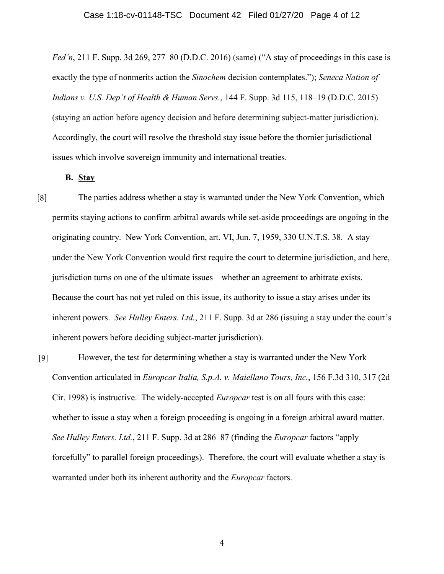*Fed'n*, 211 F. Supp. 3d 269, 277–80 (D.D.C. 2016) (same) ("A stay of proceedings in this case is exactly the type of nonmerits action the *Sinochem* decision contemplates."); *Seneca Nation of Indians v. U.S. Dep't of Health & Human Servs.*, 144 F. Supp. 3d 115, 118–19 (D.D.C. 2015) (staying an action before agency decision and before determining subject-matter jurisdiction). Accordingly, the court will resolve the threshold stay issue before the thornier jurisdictional issues which involve sovereign immunity and international treaties.

## **B. Stay**

The parties address whether a stay is warranted under the New York Convention, which permits staying actions to confirm arbitral awards while set-aside proceedings are ongoing in the originating country. New York Convention, art. VI, Jun. 7, 1959, 330 U.N.T.S. 38. A stay under the New York Convention would first require the court to determine jurisdiction, and here, jurisdiction turns on one of the ultimate issues—whether an agreement to arbitrate exists. Because the court has not yet ruled on this issue, its authority to issue a stay arises under its inherent powers. *See Hulley Enters. Ltd.*, 211 F. Supp. 3d at 286 (issuing a stay under the court's inherent powers before deciding subject-matter jurisdiction). [8]

However, the test for determining whether a stay is warranted under the New York Convention articulated in *Europcar Italia, S.p.A. v. Maiellano Tours, Inc.*, 156 F.3d 310, 317 (2d Cir. 1998) is instructive. The widely-accepted *Europcar* test is on all fours with this case: whether to issue a stay when a foreign proceeding is ongoing in a foreign arbitral award matter. *See Hulley Enters. Ltd.*, 211 F. Supp. 3d at 286–87 (finding the *Europcar* factors "apply forcefully" to parallel foreign proceedings). Therefore, the court will evaluate whether a stay is warranted under both its inherent authority and the *Europcar* factors. [9]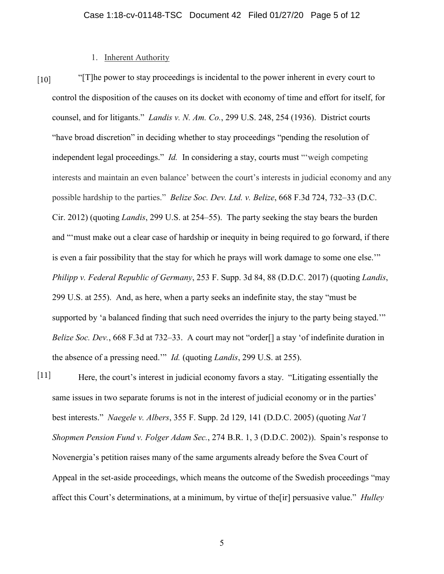## 1. Inherent Authority

[10]

"[T]he power to stay proceedings is incidental to the power inherent in every court to control the disposition of the causes on its docket with economy of time and effort for itself, for counsel, and for litigants." *Landis v. N. Am. Co.*, 299 U.S. 248, 254 (1936). District courts "have broad discretion" in deciding whether to stay proceedings "pending the resolution of independent legal proceedings." *Id.* In considering a stay, courts must "'weigh competing interests and maintain an even balance' between the court's interests in judicial economy and any possible hardship to the parties." *Belize Soc. Dev. Ltd. v. Belize*, 668 F.3d 724, 732–33 (D.C. Cir. 2012) (quoting *Landis*, 299 U.S. at 254–55). The party seeking the stay bears the burden and "'must make out a clear case of hardship or inequity in being required to go forward, if there is even a fair possibility that the stay for which he prays will work damage to some one else.'" *Philipp v. Federal Republic of Germany*, 253 F. Supp. 3d 84, 88 (D.D.C. 2017) (quoting *Landis*, 299 U.S. at 255). And, as here, when a party seeks an indefinite stay, the stay "must be supported by 'a balanced finding that such need overrides the injury to the party being stayed." *Belize Soc. Dev.*, 668 F.3d at 732–33. A court may not "order<sup>[]</sup> a stay 'of indefinite duration in the absence of a pressing need.'" *Id.* (quoting *Landis*, 299 U.S. at 255).

Here, the court's interest in judicial economy favors a stay. "Litigating essentially the same issues in two separate forums is not in the interest of judicial economy or in the parties' best interests." *Naegele v. Albers*, 355 F. Supp. 2d 129, 141 (D.D.C. 2005) (quoting *Nat'l Shopmen Pension Fund v. Folger Adam Sec.*, 274 B.R. 1, 3 (D.D.C. 2002)). Spain's response to Novenergia's petition raises many of the same arguments already before the Svea Court of Appeal in the set-aside proceedings, which means the outcome of the Swedish proceedings "may affect this Court's determinations, at a minimum, by virtue of the[ir] persuasive value." *Hulley* [11]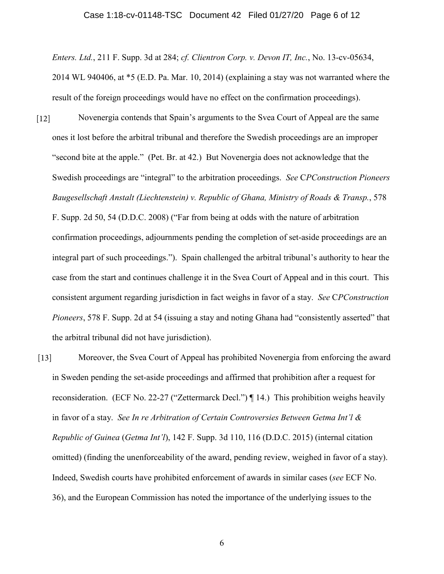#### Case 1:18-cv-01148-TSC Document 42 Filed 01/27/20 Page 6 of 12

*Enters. Ltd.*, 211 F. Supp. 3d at 284; *cf. Clientron Corp. v. Devon IT, Inc.*, No. 13-cv-05634, 2014 WL 940406, at \*5 (E.D. Pa. Mar. 10, 2014) (explaining a stay was not warranted where the result of the foreign proceedings would have no effect on the confirmation proceedings).

Novenergia contends that Spain's arguments to the Svea Court of Appeal are the same ones it lost before the arbitral tribunal and therefore the Swedish proceedings are an improper "second bite at the apple." (Pet. Br. at 42.) But Novenergia does not acknowledge that the Swedish proceedings are "integral" to the arbitration proceedings. *See* C*PConstruction Pioneers Baugesellschaft Anstalt (Liechtenstein) v. Republic of Ghana, Ministry of Roads & Transp.*, 578  $[12]$ 

F. Supp. 2d 50, 54 (D.D.C. 2008) ("Far from being at odds with the nature of arbitration confirmation proceedings, adjournments pending the completion of set-aside proceedings are an integral part of such proceedings."). Spain challenged the arbitral tribunal's authority to hear the case from the start and continues challenge it in the Svea Court of Appeal and in this court. This consistent argument regarding jurisdiction in fact weighs in favor of a stay. *See* C*PConstruction Pioneers*, 578 F. Supp. 2d at 54 (issuing a stay and noting Ghana had "consistently asserted" that the arbitral tribunal did not have jurisdiction).

Moreover, the Svea Court of Appeal has prohibited Novenergia from enforcing the award in Sweden pending the set-aside proceedings and affirmed that prohibition after a request for reconsideration. (ECF No. 22-27 ("Zettermarck Decl.") ¶ 14.) This prohibition weighs heavily in favor of a stay. *See In re Arbitration of Certain Controversies Between Getma Int'l & Republic of Guinea* (*Getma Int'l*), 142 F. Supp. 3d 110, 116 (D.D.C. 2015) (internal citation omitted) (finding the unenforceability of the award, pending review, weighed in favor of a stay). Indeed, Swedish courts have prohibited enforcement of awards in similar cases (*see* ECF No. 36), and the European Commission has noted the importance of the underlying issues to the [13]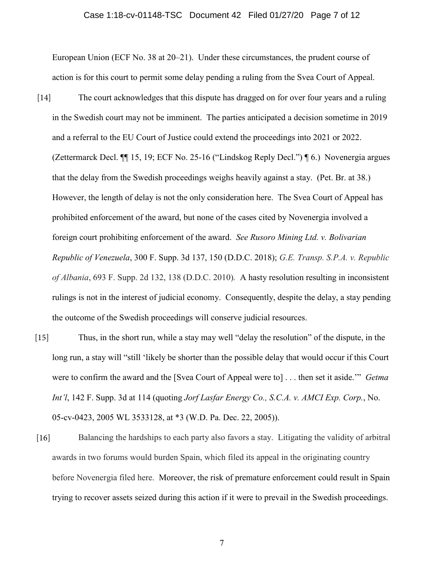#### Case 1:18-cv-01148-TSC Document 42 Filed 01/27/20 Page 7 of 12

European Union (ECF No. 38 at 20–21). Under these circumstances, the prudent course of action is for this court to permit some delay pending a ruling from the Svea Court of Appeal.

- The court acknowledges that this dispute has dragged on for over four years and a ruling in the Swedish court may not be imminent. The parties anticipated a decision sometime in 2019 and a referral to the EU Court of Justice could extend the proceedings into 2021 or 2022. (Zettermarck Decl. ¶¶ 15, 19; ECF No. 25-16 ("Lindskog Reply Decl.") ¶ 6.) Novenergia argues that the delay from the Swedish proceedings weighs heavily against a stay. (Pet. Br. at 38.) However, the length of delay is not the only consideration here. The Svea Court of Appeal has prohibited enforcement of the award, but none of the cases cited by Novenergia involved a foreign court prohibiting enforcement of the award. *See Rusoro Mining Ltd. v. Bolivarian Republic of Venezuela*, 300 F. Supp. 3d 137, 150 (D.D.C. 2018); *G.E. Transp. S.P.A. v. Republic of Albania*, 693 F. Supp. 2d 132, 138 (D.D.C. 2010)*.* A hasty resolution resulting in inconsistent rulings is not in the interest of judicial economy. Consequently, despite the delay, a stay pending the outcome of the Swedish proceedings will conserve judicial resources. [14]
- Thus, in the short run, while a stay may well "delay the resolution" of the dispute, in the long run, a stay will "still 'likely be shorter than the possible delay that would occur if this Court were to confirm the award and the [Svea Court of Appeal were to] . . . then set it aside.'" *Getma Int'l*, 142 F. Supp. 3d at 114 (quoting *Jorf Lasfar Energy Co., S.C.A. v. AMCI Exp. Corp.*, No. 05-cv-0423, 2005 WL 3533128, at \*3 (W.D. Pa. Dec. 22, 2005)).  $[15]$
- Balancing the hardships to each party also favors a stay. Litigating the validity of arbitral awards in two forums would burden Spain, which filed its appeal in the originating country before Novenergia filed here. Moreover, the risk of premature enforcement could result in Spain trying to recover assets seized during this action if it were to prevail in the Swedish proceedings. [16]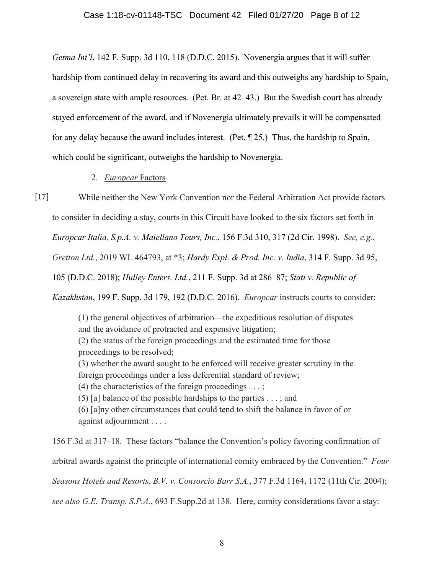*Getma Int'l*, 142 F. Supp. 3d 110, 118 (D.D.C. 2015). Novenergia argues that it will suffer hardship from continued delay in recovering its award and this outweighs any hardship to Spain, a sovereign state with ample resources. (Pet. Br. at 42–43.) But the Swedish court has already stayed enforcement of the award, and if Novenergia ultimately prevails it will be compensated for any delay because the award includes interest. (Pet. ¶ 25.) Thus, the hardship to Spain, which could be significant, outweighs the hardship to Novenergia.

#### 2. *Europcar* Factors

While neither the New York Convention nor the Federal Arbitration Act provide factors to consider in deciding a stay, courts in this Circuit have looked to the six factors set forth in *Europcar Italia, S.p.A. v. Maiellano Tours, Inc.*, 156 F.3d 310, 317 (2d Cir. 1998). *See, e.g.*, *Gretton Ltd.*, 2019 WL 464793, at \*3; *Hardy Expl. & Prod. Inc. v. India*, 314 F. Supp. 3d 95, 105 (D.D.C. 2018); *Hulley Enters. Ltd.*, 211 F. Supp. 3d at 286–87; *Stati v. Republic of Kazakhstan*, 199 F. Supp. 3d 179, 192 (D.D.C. 2016). *Europcar* instructs courts to consider: [17]

(1) the general objectives of arbitration—the expeditious resolution of disputes and the avoidance of protracted and expensive litigation; (2) the status of the foreign proceedings and the estimated time for those proceedings to be resolved; (3) whether the award sought to be enforced will receive greater scrutiny in the foreign proceedings under a less deferential standard of review; (4) the characteristics of the foreign proceedings  $\dots$ ; (5) [a] balance of the possible hardships to the parties  $\dots$ ; and (6) [a]ny other circumstances that could tend to shift the balance in favor of or against adjournment . . . .

156 F.3d at 317–18. These factors "balance the Convention's policy favoring confirmation of arbitral awards against the principle of international comity embraced by the Convention." *Four Seasons Hotels and Resorts, B.V. v. Consorcio Barr S.A.*, 377 F.3d 1164, 1172 (11th Cir. 2004); *see also G.E. Transp. S.P.A.*, 693 F.Supp.2d at 138. Here, comity considerations favor a stay: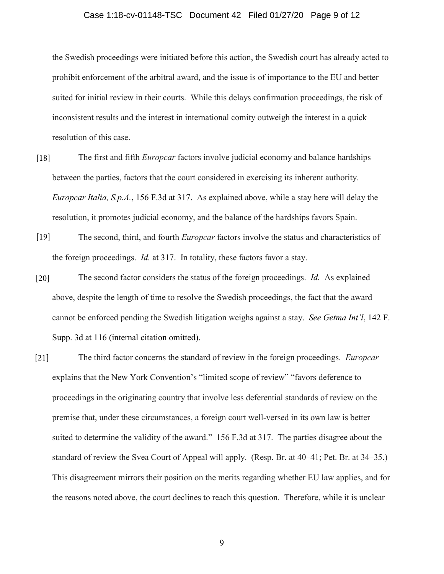#### Case 1:18-cv-01148-TSC Document 42 Filed 01/27/20 Page 9 of 12

the Swedish proceedings were initiated before this action, the Swedish court has already acted to prohibit enforcement of the arbitral award, and the issue is of importance to the EU and better suited for initial review in their courts. While this delays confirmation proceedings, the risk of inconsistent results and the interest in international comity outweigh the interest in a quick resolution of this case.

- The first and fifth *Europcar* factors involve judicial economy and balance hardships between the parties, factors that the court considered in exercising its inherent authority. *Europcar Italia, S.p.A.*, 156 F.3d at 317. As explained above, while a stay here will delay the resolution, it promotes judicial economy, and the balance of the hardships favors Spain. [18]
- The second, third, and fourth *Europcar* factors involve the status and characteristics of the foreign proceedings. *Id.* at 317. In totality, these factors favor a stay. [19]
- The second factor considers the status of the foreign proceedings. *Id.* As explained above, despite the length of time to resolve the Swedish proceedings, the fact that the award cannot be enforced pending the Swedish litigation weighs against a stay. *See Getma Int'l*, 142 F. Supp. 3d at 116 (internal citation omitted). [20]
- The third factor concerns the standard of review in the foreign proceedings. *Europcar*  explains that the New York Convention's "limited scope of review" "favors deference to proceedings in the originating country that involve less deferential standards of review on the premise that, under these circumstances, a foreign court well-versed in its own law is better suited to determine the validity of the award." 156 F.3d at 317. The parties disagree about the standard of review the Svea Court of Appeal will apply. (Resp. Br. at 40–41; Pet. Br. at 34–35.) This disagreement mirrors their position on the merits regarding whether EU law applies, and for the reasons noted above, the court declines to reach this question. Therefore, while it is unclear [21]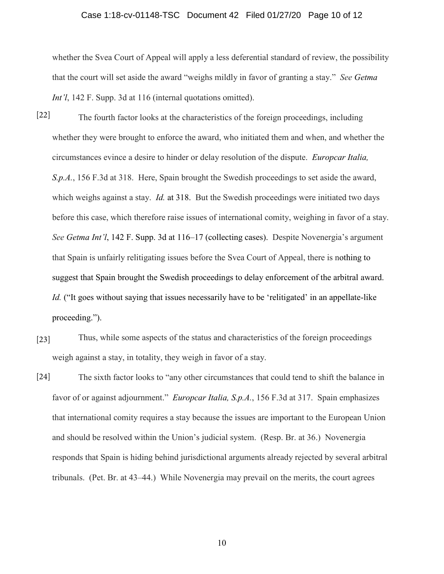#### Case 1:18-cv-01148-TSC Document 42 Filed 01/27/20 Page 10 of 12

whether the Svea Court of Appeal will apply a less deferential standard of review, the possibility that the court will set aside the award "weighs mildly in favor of granting a stay." *See Getma Int'l*, 142 F. Supp. 3d at 116 (internal quotations omitted).

- The fourth factor looks at the characteristics of the foreign proceedings, including whether they were brought to enforce the award, who initiated them and when, and whether the circumstances evince a desire to hinder or delay resolution of the dispute. *Europcar Italia, S.p.A.*, 156 F.3d at 318. Here, Spain brought the Swedish proceedings to set aside the award, which weighs against a stay. *Id.* at 318. But the Swedish proceedings were initiated two days before this case, which therefore raise issues of international comity, weighing in favor of a stay. *See Getma Int'l*, 142 F. Supp. 3d at 116–17 (collecting cases). Despite Novenergia's argument that Spain is unfairly relitigating issues before the Svea Court of Appeal, there is nothing to suggest that Spain brought the Swedish proceedings to delay enforcement of the arbitral award. *Id.* ("It goes without saying that issues necessarily have to be 'relitigated' in an appellate-like proceeding."). [22]
- Thus, while some aspects of the status and characteristics of the foreign proceedings weigh against a stay, in totality, they weigh in favor of a stay. [23]
- The sixth factor looks to "any other circumstances that could tend to shift the balance in favor of or against adjournment." *Europcar Italia, S.p.A.*, 156 F.3d at 317. Spain emphasizes that international comity requires a stay because the issues are important to the European Union and should be resolved within the Union's judicial system. (Resp. Br. at 36.) Novenergia responds that Spain is hiding behind jurisdictional arguments already rejected by several arbitral tribunals. (Pet. Br. at 43–44.) While Novenergia may prevail on the merits, the court agrees [24]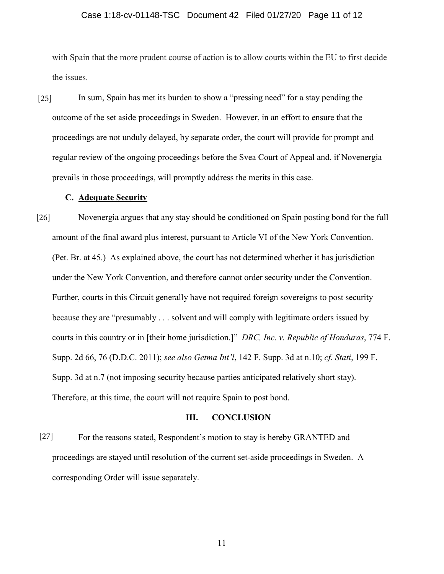#### Case 1:18-cv-01148-TSC Document 42 Filed 01/27/20 Page 11 of 12

with Spain that the more prudent course of action is to allow courts within the EU to first decide the issues.

In sum, Spain has met its burden to show a "pressing need" for a stay pending the outcome of the set aside proceedings in Sweden. However, in an effort to ensure that the proceedings are not unduly delayed, by separate order, the court will provide for prompt and regular review of the ongoing proceedings before the Svea Court of Appeal and, if Novenergia prevails in those proceedings, will promptly address the merits in this case. [25]

#### **C. Adequate Security**

Novenergia argues that any stay should be conditioned on Spain posting bond for the full amount of the final award plus interest, pursuant to Article VI of the New York Convention. (Pet. Br. at 45.) As explained above, the court has not determined whether it has jurisdiction under the New York Convention, and therefore cannot order security under the Convention. Further, courts in this Circuit generally have not required foreign sovereigns to post security because they are "presumably . . . solvent and will comply with legitimate orders issued by courts in this country or in [their home jurisdiction.]" *DRC, Inc. v. Republic of Honduras*, 774 F. Supp. 2d 66, 76 (D.D.C. 2011); *see also Getma Int'l*, 142 F. Supp. 3d at n.10; *cf. Stati*, 199 F. Supp. 3d at n.7 (not imposing security because parties anticipated relatively short stay). Therefore, at this time, the court will not require Spain to post bond. [26]

#### **III. CONCLUSION**

For the reasons stated, Respondent's motion to stay is hereby GRANTED and proceedings are stayed until resolution of the current set-aside proceedings in Sweden. A corresponding Order will issue separately. [27]